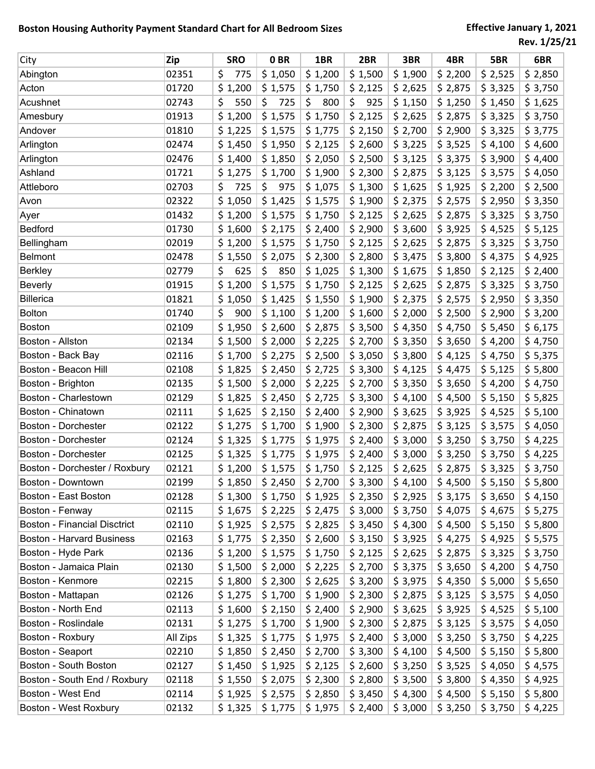| City                                | Zip      | <b>SRO</b> | 0 <sub>BR</sub> | 1BR       | 2BR       | 3BR     | 4BR     | 5BR     | 6BR     |
|-------------------------------------|----------|------------|-----------------|-----------|-----------|---------|---------|---------|---------|
| Abington                            | 02351    | \$<br>775  | \$1,050         | \$1,200   | \$1,500   | \$1,900 | \$2,200 | \$2,525 | \$2,850 |
| Acton                               | 01720    | \$1,200    | \$1,575         | \$1,750   | \$2,125   | \$2,625 | \$2,875 | \$3,325 | \$3,750 |
| Acushnet                            | 02743    | \$<br>550  | \$<br>725       | \$<br>800 | \$<br>925 | \$1,150 | \$1,250 | \$1,450 | \$1,625 |
| Amesbury                            | 01913    | \$1,200    | \$1,575         | \$1,750   | \$2,125   | \$2,625 | \$2,875 | \$3,325 | \$3,750 |
| Andover                             | 01810    | \$1,225    | \$1,575         | \$1,775   | \$2,150   | \$2,700 | \$2,900 | \$3,325 | \$3,775 |
| Arlington                           | 02474    | \$1,450    | \$1,950         | \$2,125   | \$2,600   | \$3,225 | \$3,525 | \$4,100 | \$4,600 |
| Arlington                           | 02476    | \$1,400    | \$1,850         | \$2,050   | \$2,500   | \$3,125 | \$3,375 | \$3,900 | \$4,400 |
| Ashland                             | 01721    | \$1,275    | \$1,700         | \$1,900   | \$2,300   | \$2,875 | \$3,125 | \$3,575 | \$4,050 |
| Attleboro                           | 02703    | \$<br>725  | 975<br>\$       | \$1,075   | \$1,300   | \$1,625 | \$1,925 | \$2,200 | \$2,500 |
| Avon                                | 02322    | \$1,050    | \$1,425         | \$1,575   | \$1,900   | \$2,375 | \$2,575 | \$2,950 | \$3,350 |
| Ayer                                | 01432    | \$1,200    | \$1,575         | \$1,750   | \$2,125   | \$2,625 | \$2,875 | \$3,325 | \$3,750 |
| <b>Bedford</b>                      | 01730    | \$1,600    | \$2,175         | \$2,400   | \$2,900   | \$3,600 | \$3,925 | \$4,525 | \$5,125 |
| Bellingham                          | 02019    | \$1,200    | \$1,575         | \$1,750   | \$2,125   | \$2,625 | \$2,875 | \$3,325 | \$3,750 |
| Belmont                             | 02478    | \$1,550    | \$2,075         | \$2,300   | \$2,800   | \$3,475 | \$3,800 | \$4,375 | \$4,925 |
| <b>Berkley</b>                      | 02779    | \$<br>625  | \$<br>850       | \$1,025   | \$1,300   | \$1,675 | \$1,850 | \$2,125 | \$2,400 |
| <b>Beverly</b>                      | 01915    | \$1,200    | \$1,575         | \$1,750   | \$2,125   | \$2,625 | \$2,875 | \$3,325 | \$3,750 |
| <b>Billerica</b>                    | 01821    | \$1,050    | \$1,425         | \$1,550   | \$1,900   | \$2,375 | \$2,575 | \$2,950 | \$3,350 |
| <b>Bolton</b>                       | 01740    | \$<br>900  | \$1,100         | \$1,200   | \$1,600   | \$2,000 | \$2,500 | \$2,900 | \$3,200 |
| <b>Boston</b>                       | 02109    | \$1,950    | \$2,600         | \$2,875   | \$3,500   | \$4,350 | \$4,750 | \$5,450 | \$6,175 |
| Boston - Allston                    | 02134    | \$1,500    | \$2,000         | \$2,225   | \$2,700   | \$3,350 | \$3,650 | \$4,200 | \$4,750 |
| Boston - Back Bay                   | 02116    | \$1,700    | \$2,275         | \$2,500   | \$3,050   | \$3,800 | \$4,125 | \$4,750 | \$5,375 |
| Boston - Beacon Hill                | 02108    | \$1,825    | \$2,450         | \$2,725   | \$3,300   | \$4,125 | \$4,475 | \$5,125 | \$5,800 |
| Boston - Brighton                   | 02135    | \$1,500    | \$2,000         | \$2,225   | \$2,700   | \$3,350 | \$3,650 | \$4,200 | \$4,750 |
| Boston - Charlestown                | 02129    | \$1,825    | \$2,450         | \$2,725   | \$3,300   | \$4,100 | \$4,500 | \$5,150 | \$5,825 |
| Boston - Chinatown                  | 02111    | \$1,625    | \$2,150         | \$2,400   | \$2,900   | \$3,625 | \$3,925 | \$4,525 | \$5,100 |
| Boston - Dorchester                 | 02122    | \$1,275    | \$1,700         | \$1,900   | \$2,300   | \$2,875 | \$3,125 | \$3,575 | \$4,050 |
| Boston - Dorchester                 | 02124    | \$1,325    | \$1,775         | \$1,975   | \$2,400   | \$3,000 | \$3,250 | \$3,750 | \$4,225 |
| Boston - Dorchester                 | 02125    | \$1,325    | \$1,775         | \$1,975   | \$2,400   | \$3,000 | \$3,250 | \$3,750 | \$4,225 |
| Boston - Dorchester / Roxbury       | 02121    | \$1,200    | \$1,575         | \$1,750   | \$2,125   | \$2,625 | \$2,875 | \$3,325 | \$3,750 |
| Boston - Downtown                   | 02199    | \$1,850    | \$2,450         | \$2,700   | \$3,300   | \$4,100 | \$4,500 | \$5,150 | \$5,800 |
| Boston - East Boston                | 02128    | \$1,300    | \$1,750         | \$1,925   | \$2,350   | \$2,925 | \$3,175 | \$3,650 | \$4,150 |
| Boston - Fenway                     | 02115    | \$1,675    | \$2,225         | \$2,475   | \$3,000   | \$3,750 | \$4,075 | \$4,675 | \$5,275 |
| <b>Boston - Financial Disctrict</b> | 02110    | \$1,925    | \$2,575         | \$2,825   | \$3,450   | \$4,300 | \$4,500 | \$5,150 | \$5,800 |
| <b>Boston - Harvard Business</b>    | 02163    | \$1,775    | \$2,350         | \$2,600   | \$3,150   | \$3,925 | \$4,275 | \$4,925 | \$5,575 |
| Boston - Hyde Park                  | 02136    | \$1,200    | \$1,575         | \$1,750   | \$2,125   | \$2,625 | \$2,875 | \$3,325 | \$3,750 |
| Boston - Jamaica Plain              | 02130    | \$1,500    | \$2,000         | \$2,225   | \$2,700   | \$3,375 | \$3,650 | \$4,200 | \$4,750 |
| Boston - Kenmore                    | 02215    | \$1,800    | \$2,300         | \$2,625   | \$3,200   | \$3,975 | \$4,350 | \$5,000 | \$5,650 |
| Boston - Mattapan                   | 02126    | \$1,275    | \$1,700         | \$1,900   | \$2,300   | \$2,875 | \$3,125 | \$3,575 | \$4,050 |
| Boston - North End                  | 02113    | \$1,600    | \$2,150         | \$2,400   | \$2,900   | \$3,625 | \$3,925 | \$4,525 | \$5,100 |
| Boston - Roslindale                 | 02131    | \$1,275    | \$1,700         | \$1,900   | \$2,300   | \$2,875 | \$3,125 | \$3,575 | \$4,050 |
| Boston - Roxbury                    | All Zips | \$1,325    | \$1,775         | \$1,975   | \$2,400   | \$3,000 | \$3,250 | \$3,750 | \$4,225 |
| Boston - Seaport                    | 02210    | \$1,850    | \$2,450         | \$2,700   | \$3,300   | \$4,100 | \$4,500 | \$5,150 | \$5,800 |
| Boston - South Boston               | 02127    | \$1,450    | \$1,925         | \$2,125   | \$2,600   | \$3,250 | \$3,525 | \$4,050 | \$4,575 |
| Boston - South End / Roxbury        | 02118    | \$1,550    | \$2,075         | \$2,300   | \$2,800   | \$3,500 | \$3,800 | \$4,350 | \$4,925 |
| Boston - West End                   | 02114    | \$1,925    | \$2,575         | \$2,850   | \$3,450   | \$4,300 | \$4,500 | \$5,150 | \$5,800 |
| Boston - West Roxbury               | 02132    | \$1,325    | \$1,775         | \$1,975   | \$2,400   | \$3,000 | \$3,250 | \$3,750 | \$4,225 |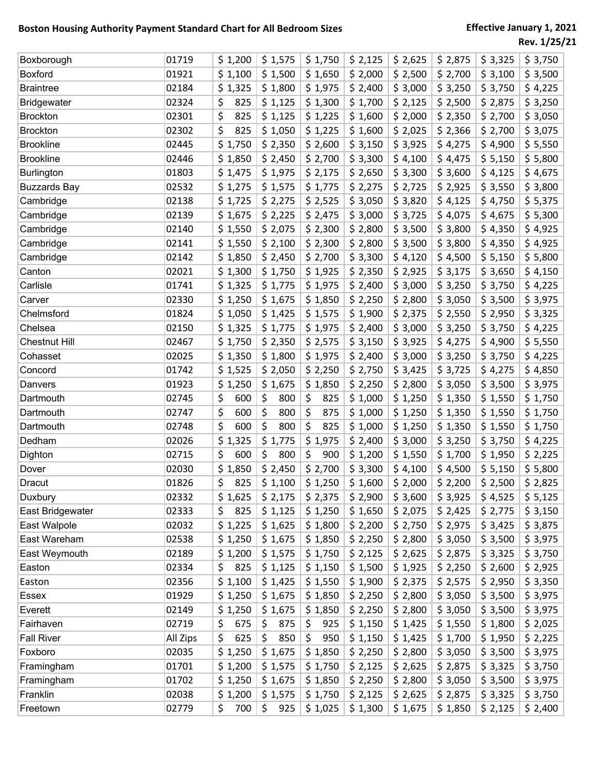| Boxborough           | 01719    | \$1,200     | \$1,575   | \$1,750   | \$2,125 | \$2,625 | \$2,875 | \$3,325 | \$3,750 |
|----------------------|----------|-------------|-----------|-----------|---------|---------|---------|---------|---------|
| <b>Boxford</b>       | 01921    | \$1,100     | \$1,500   | \$1,650   | \$2,000 | \$2,500 | \$2,700 | \$3,100 | \$3,500 |
| <b>Braintree</b>     | 02184    | \$1,325     | \$1,800   | \$1,975   | \$2,400 | \$3,000 | \$3,250 | \$3,750 | \$4,225 |
| Bridgewater          | 02324    | \$<br>825   | \$1,125   | \$1,300   | \$1,700 | \$2,125 | \$2,500 | \$2,875 | \$3,250 |
| <b>Brockton</b>      | 02301    | \$<br>825   | \$1,125   | \$1,225   | \$1,600 | \$2,000 | \$2,350 | \$2,700 | \$3,050 |
| <b>Brockton</b>      | 02302    | \$<br>825   | \$1,050   | \$1,225   | \$1,600 | \$2,025 | \$2,366 | \$2,700 | \$3,075 |
| <b>Brookline</b>     | 02445    | \$1,750     | \$2,350   | \$2,600   | \$3,150 | \$3,925 | \$4,275 | \$4,900 | \$5,550 |
| <b>Brookline</b>     | 02446    | \$1,850     | \$2,450   | \$2,700   | \$3,300 | \$4,100 | \$4,475 | \$5,150 | \$5,800 |
| Burlington           | 01803    | \$1,475     | \$1,975   | \$2,175   | \$2,650 | \$3,300 | \$3,600 | \$4,125 | \$4,675 |
| <b>Buzzards Bay</b>  | 02532    | \$1,275     | \$1,575   | \$1,775   | \$2,275 | \$2,725 | \$2,925 | \$3,550 | \$3,800 |
| Cambridge            | 02138    | \$1,725     | \$2,275   | \$2,525   | \$3,050 | \$3,820 | \$4,125 | \$4,750 | \$5,375 |
| Cambridge            | 02139    | \$1,675     | \$2,225   | \$2,475   | \$3,000 | \$3,725 | \$4,075 | \$4,675 | \$5,300 |
| Cambridge            | 02140    | \$1,550     | \$2,075   | \$2,300   | \$2,800 | \$3,500 | \$3,800 | \$4,350 | \$4,925 |
| Cambridge            | 02141    | \$1,550     | \$2,100   | \$2,300   | \$2,800 | \$3,500 | \$3,800 | \$4,350 | \$4,925 |
| Cambridge            | 02142    | \$1,850     | \$2,450   | \$2,700   | \$3,300 | \$4,120 | \$4,500 | \$5,150 | \$5,800 |
| Canton               | 02021    | \$1,300     | \$1,750   | \$1,925   | \$2,350 | \$2,925 | \$3,175 | \$3,650 | \$4,150 |
| Carlisle             | 01741    | \$1,325     | \$1,775   | \$1,975   | \$2,400 | \$3,000 | \$3,250 | \$3,750 | \$4,225 |
| Carver               | 02330    | \$1,250     | \$1,675   | \$1,850   | \$2,250 | \$2,800 | \$3,050 | \$3,500 | \$3,975 |
| Chelmsford           | 01824    | \$1,050     | \$1,425   | \$1,575   | \$1,900 | \$2,375 | \$2,550 | \$2,950 | \$3,325 |
| Chelsea              | 02150    | \$1,325     | \$1,775   | \$1,975   | \$2,400 | \$3,000 | \$3,250 | \$3,750 | \$4,225 |
| <b>Chestnut Hill</b> | 02467    | \$1,750     | \$2,350   | \$2,575   | \$3,150 | \$3,925 | \$4,275 | \$4,900 | \$5,550 |
| Cohasset             | 02025    | \$1,350     | \$1,800   | \$1,975   | \$2,400 | \$3,000 | \$3,250 | \$3,750 | \$4,225 |
| Concord              | 01742    | \$1,525     | \$2,050   | \$2,250   | \$2,750 | \$3,425 | \$3,725 | \$4,275 | \$4,850 |
| Danvers              | 01923    | \$1,250     | \$1,675   | \$1,850   | \$2,250 | \$2,800 | \$3,050 | \$3,500 | \$3,975 |
| Dartmouth            | 02745    | \$<br>600   | \$<br>800 | \$<br>825 | \$1,000 | \$1,250 | \$1,350 | \$1,550 | \$1,750 |
| Dartmouth            | 02747    | \$<br>600   | \$<br>800 | \$<br>875 | \$1,000 | \$1,250 | \$1,350 | \$1,550 | \$1,750 |
| Dartmouth            | 02748    | \$<br>600   | \$<br>800 | \$<br>825 | \$1,000 | \$1,250 | \$1,350 | \$1,550 | \$1,750 |
| Dedham               | 02026    | \$<br>1,325 | \$1,775   | \$1,975   | \$2,400 | \$3,000 | \$3,250 | \$3,750 | \$4,225 |
| Dighton              | 02715    | \$<br>600   | \$<br>800 | \$<br>900 | \$1,200 | \$1,550 | \$1,700 | \$1,950 | \$2,225 |
| Dover                | 02030    | \$<br>1,850 | \$2,450   | \$2,700   | \$3,300 | \$4,100 | \$4,500 | \$5,150 | \$5,800 |
| Dracut               | 01826    | ς<br>825    | \$1,100   | \$1,250   | \$1,600 | \$2,000 | \$2,200 | \$2,500 | \$2,825 |
| Duxbury              | 02332    | \$1,625     | \$2,175   | \$2,375   | \$2,900 | \$3,600 | \$3,925 | \$4,525 | \$5,125 |
| East Bridgewater     | 02333    | \$<br>825   | \$1,125   | \$1,250   | \$1,650 | \$2,075 | \$2,425 | \$2,775 | \$3,150 |
| East Walpole         | 02032    | \$1,225     | \$1,625   | \$1,800   | \$2,200 | \$2,750 | \$2,975 | \$3,425 | \$3,875 |
| East Wareham         | 02538    | \$1,250     | \$1,675   | \$1,850   | \$2,250 | \$2,800 | \$3,050 | \$3,500 | \$3,975 |
| East Weymouth        | 02189    | \$1,200     | \$1,575   | \$1,750   | \$2,125 | \$2,625 | \$2,875 | \$3,325 | \$3,750 |
| Easton               | 02334    | \$<br>825   | \$1,125   | \$1,150   | \$1,500 | \$1,925 | \$2,250 | \$2,600 | \$2,925 |
| Easton               | 02356    | \$1,100     | \$1,425   | \$1,550   | \$1,900 | \$2,375 | \$2,575 | \$2,950 | \$3,350 |
| Essex                | 01929    | \$1,250     | \$1,675   | \$1,850   | \$2,250 | \$2,800 | \$3,050 | \$3,500 | \$3,975 |
| Everett              | 02149    | \$1,250     | \$1,675   | \$1,850   | \$2,250 | \$2,800 | \$3,050 | \$3,500 | \$3,975 |
| Fairhaven            | 02719    | \$<br>675   | \$<br>875 | \$<br>925 | \$1,150 | \$1,425 | \$1,550 | \$1,800 | \$2,025 |
| <b>Fall River</b>    | All Zips | \$<br>625   | \$<br>850 | \$<br>950 | \$1,150 | \$1,425 | \$1,700 | \$1,950 | \$2,225 |
| Foxboro              | 02035    | \$1,250     | \$1,675   | \$1,850   | \$2,250 | \$2,800 | \$3,050 | \$3,500 | \$3,975 |
| Framingham           | 01701    | \$1,200     | \$1,575   | \$1,750   | \$2,125 | \$2,625 | \$2,875 | \$3,325 | \$3,750 |
| Framingham           | 01702    | \$1,250     | \$1,675   | \$1,850   | \$2,250 | \$2,800 | \$3,050 | \$3,500 | \$3,975 |
| Franklin             | 02038    | \$1,200     | \$1,575   | \$1,750   | \$2,125 | \$2,625 | \$2,875 | \$3,325 | \$3,750 |
| Freetown             | 02779    | \$<br>700   | \$<br>925 | \$1,025   | \$1,300 | \$1,675 | \$1,850 | \$2,125 | \$2,400 |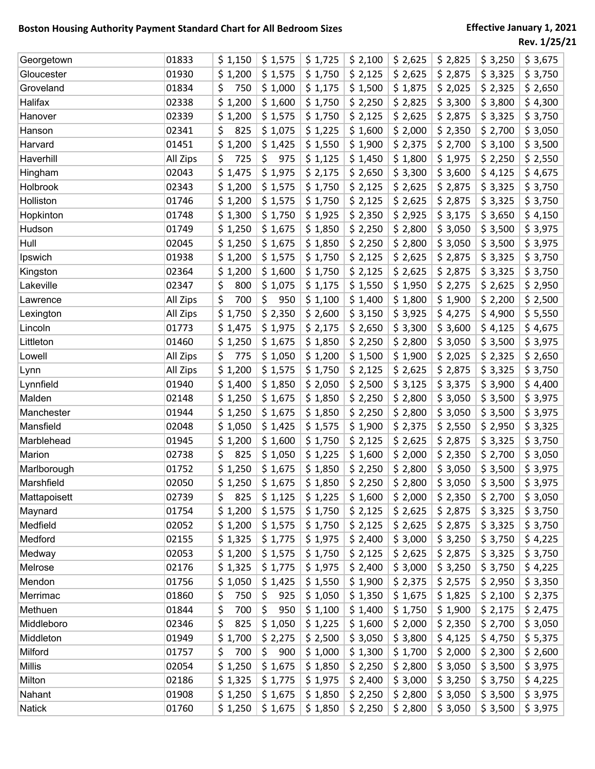| Georgetown    | 01833    | \$1,150   | \$1,575   | \$1,725 | \$2,100 | \$2,625 | \$2,825 | \$3,250 | \$3,675 |
|---------------|----------|-----------|-----------|---------|---------|---------|---------|---------|---------|
| Gloucester    | 01930    | \$1,200   | \$1,575   | \$1,750 | \$2,125 | \$2,625 | \$2,875 | \$3,325 | \$3,750 |
| Groveland     | 01834    | \$<br>750 | \$1,000   | \$1,175 | \$1,500 | \$1,875 | \$2,025 | \$2,325 | \$2,650 |
| Halifax       | 02338    | \$1,200   | \$1,600   | \$1,750 | \$2,250 | \$2,825 | \$3,300 | \$3,800 | \$4,300 |
| Hanover       | 02339    | \$1,200   | \$1,575   | \$1,750 | \$2,125 | \$2,625 | \$2,875 | \$3,325 | \$3,750 |
| Hanson        | 02341    | \$<br>825 | \$1,075   | \$1,225 | \$1,600 | \$2,000 | \$2,350 | \$2,700 | \$3,050 |
| Harvard       | 01451    | \$1,200   | \$1,425   | \$1,550 | \$1,900 | \$2,375 | \$2,700 | \$3,100 | \$3,500 |
| Haverhill     | All Zips | \$<br>725 | \$<br>975 | \$1,125 | \$1,450 | \$1,800 | \$1,975 | \$2,250 | \$2,550 |
| Hingham       | 02043    | \$1,475   | \$1,975   | \$2,175 | \$2,650 | \$3,300 | \$3,600 | \$4,125 | \$4,675 |
| Holbrook      | 02343    | \$1,200   | \$1,575   | \$1,750 | \$2,125 | \$2,625 | \$2,875 | \$3,325 | \$3,750 |
| Holliston     | 01746    | \$1,200   | \$1,575   | \$1,750 | \$2,125 | \$2,625 | \$2,875 | \$3,325 | \$3,750 |
| Hopkinton     | 01748    | \$1,300   | \$1,750   | \$1,925 | \$2,350 | \$2,925 | \$3,175 | \$3,650 | \$4,150 |
| Hudson        | 01749    | \$1,250   | \$1,675   | \$1,850 | \$2,250 | \$2,800 | \$3,050 | \$3,500 | \$3,975 |
| Hull          | 02045    | \$1,250   | \$1,675   | \$1,850 | \$2,250 | \$2,800 | \$3,050 | \$3,500 | \$3,975 |
| Ipswich       | 01938    | \$1,200   | \$1,575   | \$1,750 | \$2,125 | \$2,625 | \$2,875 | \$3,325 | \$3,750 |
| Kingston      | 02364    | \$1,200   | \$1,600   | \$1,750 | \$2,125 | \$2,625 | \$2,875 | \$3,325 | \$3,750 |
| Lakeville     | 02347    | \$<br>800 | \$1,075   | \$1,175 | \$1,550 | \$1,950 | \$2,275 | \$2,625 | \$2,950 |
| Lawrence      | All Zips | \$<br>700 | \$<br>950 | \$1,100 | \$1,400 | \$1,800 | \$1,900 | \$2,200 | \$2,500 |
| Lexington     | All Zips | \$1,750   | \$2,350   | \$2,600 | \$3,150 | \$3,925 | \$4,275 | \$4,900 | \$5,550 |
| Lincoln       | 01773    | \$1,475   | \$1,975   | \$2,175 | \$2,650 | \$3,300 | \$3,600 | \$4,125 | \$4,675 |
| Littleton     | 01460    | \$1,250   | \$1,675   | \$1,850 | \$2,250 | \$2,800 | \$3,050 | \$3,500 | \$3,975 |
| Lowell        | All Zips | \$<br>775 | \$1,050   | \$1,200 | \$1,500 | \$1,900 | \$2,025 | \$2,325 | \$2,650 |
| Lynn          | All Zips | \$1,200   | \$1,575   | \$1,750 | \$2,125 | \$2,625 | \$2,875 | \$3,325 | \$3,750 |
| Lynnfield     | 01940    | \$1,400   | \$1,850   | \$2,050 | \$2,500 | \$3,125 | \$3,375 | \$3,900 | \$4,400 |
| Malden        | 02148    | \$1,250   | \$1,675   | \$1,850 | \$2,250 | \$2,800 | \$3,050 | \$3,500 | \$3,975 |
| Manchester    | 01944    | \$1,250   | \$1,675   | \$1,850 | \$2,250 | \$2,800 | \$3,050 | \$3,500 | \$3,975 |
| Mansfield     | 02048    | \$1,050   | \$1,425   | \$1,575 | \$1,900 | \$2,375 | \$2,550 | \$2,950 | \$3,325 |
| Marblehead    | 01945    | \$1,200   | \$1,600   | \$1,750 | \$2,125 | \$2,625 | \$2,875 | \$3,325 | \$3,750 |
| Marion        | 02738    | \$<br>825 | \$1,050   | \$1,225 | \$1,600 | \$2,000 | \$2,350 | \$2,700 | \$3,050 |
| Marlborough   | 01752    | \$1,250   | \$1,675   | \$1,850 | \$2,250 | \$2,800 | \$3,050 | \$3,500 | \$3,975 |
| Marshfield    | 02050    | \$1,250   | \$1,675   | \$1,850 | \$2,250 | \$2,800 | \$3,050 | \$3,500 | \$3,975 |
| Mattapoisett  | 02739    | \$<br>825 | \$1,125   | \$1,225 | \$1,600 | \$2,000 | \$2,350 | \$2,700 | \$3,050 |
| Maynard       | 01754    | \$1,200   | \$1,575   | \$1,750 | \$2,125 | \$2,625 | \$2,875 | \$3,325 | \$3,750 |
| Medfield      | 02052    | \$1,200   | \$1,575   | \$1,750 | \$2,125 | \$2,625 | \$2,875 | \$3,325 | \$3,750 |
| Medford       | 02155    | \$1,325   | \$1,775   | \$1,975 | \$2,400 | \$3,000 | \$3,250 | \$3,750 | \$4,225 |
| Medway        | 02053    | \$1,200   | \$1,575   | \$1,750 | \$2,125 | \$2,625 | \$2,875 | \$3,325 | \$3,750 |
| Melrose       | 02176    | \$1,325   | \$1,775   | \$1,975 | \$2,400 | \$3,000 | \$3,250 | \$3,750 | \$4,225 |
| Mendon        | 01756    | \$1,050   | \$1,425   | \$1,550 | \$1,900 | \$2,375 | \$2,575 | \$2,950 | \$3,350 |
| Merrimac      | 01860    | \$<br>750 | 925<br>\$ | \$1,050 | \$1,350 | \$1,675 | \$1,825 | \$2,100 | \$2,375 |
| Methuen       | 01844    | \$<br>700 | \$<br>950 | \$1,100 | \$1,400 | \$1,750 | \$1,900 | \$2,175 | \$2,475 |
| Middleboro    | 02346    | \$<br>825 | \$1,050   | \$1,225 | \$1,600 | \$2,000 | \$2,350 | \$2,700 | \$3,050 |
| Middleton     | 01949    | \$1,700   | \$2,275   | \$2,500 | \$3,050 | \$3,800 | \$4,125 | \$4,750 | \$5,375 |
| Milford       | 01757    | \$<br>700 | \$<br>900 | \$1,000 | \$1,300 | \$1,700 | \$2,000 | \$2,300 | \$2,600 |
| Millis        | 02054    | \$1,250   | \$1,675   | \$1,850 | \$2,250 | \$2,800 | \$3,050 | \$3,500 | \$3,975 |
| Milton        | 02186    | \$1,325   | \$1,775   | \$1,975 | \$2,400 | \$3,000 | \$3,250 | \$3,750 | \$4,225 |
| Nahant        | 01908    | \$1,250   | \$1,675   | \$1,850 | \$2,250 | \$2,800 | \$3,050 | \$3,500 | \$3,975 |
| <b>Natick</b> | 01760    | \$1,250   | \$1,675   | \$1,850 | \$2,250 | \$2,800 | \$3,050 | \$3,500 | \$3,975 |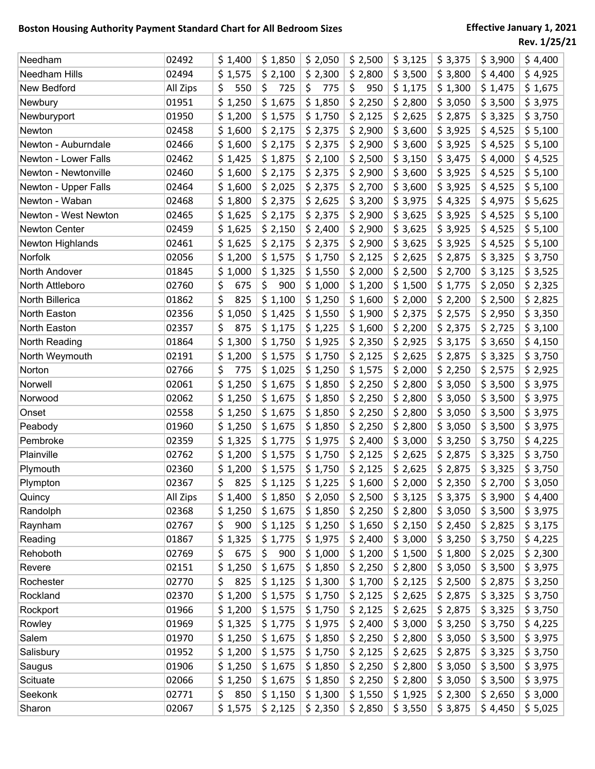| Needham              | 02492    | \$1,400      | \$1,850   | \$2,050   | \$2,500   | \$3,125 | \$3,375 | \$3,900 | \$4,400 |
|----------------------|----------|--------------|-----------|-----------|-----------|---------|---------|---------|---------|
| Needham Hills        | 02494    | \$1,575      | \$2,100   | \$2,300   | \$2,800   | \$3,500 | \$3,800 | \$4,400 | \$4,925 |
| New Bedford          | All Zips | \$<br>550    | \$<br>725 | 775<br>\$ | \$<br>950 | \$1,175 | \$1,300 | \$1,475 | \$1,675 |
| Newbury              | 01951    | \$1,250      | \$1,675   | \$1,850   | \$2,250   | \$2,800 | \$3,050 | \$3,500 | \$3,975 |
| Newburyport          | 01950    | \$1,200      | \$1,575   | \$1,750   | \$2,125   | \$2,625 | \$2,875 | \$3,325 | \$3,750 |
| Newton               | 02458    | \$1,600      | \$2,175   | \$2,375   | \$2,900   | \$3,600 | \$3,925 | \$4,525 | \$5,100 |
| Newton - Auburndale  | 02466    | \$1,600      | \$2,175   | \$2,375   | \$2,900   | \$3,600 | \$3,925 | \$4,525 | \$5,100 |
| Newton - Lower Falls | 02462    | \$1,425      | \$1,875   | \$2,100   | \$2,500   | \$3,150 | \$3,475 | \$4,000 | \$4,525 |
| Newton - Newtonville | 02460    | \$1,600      | \$2,175   | \$2,375   | \$2,900   | \$3,600 | \$3,925 | \$4,525 | \$5,100 |
| Newton - Upper Falls | 02464    | \$1,600      | \$2,025   | \$2,375   | \$2,700   | \$3,600 | \$3,925 | \$4,525 | \$5,100 |
| Newton - Waban       | 02468    | \$1,800      | \$2,375   | \$2,625   | \$3,200   | \$3,975 | \$4,325 | \$4,975 | \$5,625 |
| Newton - West Newton | 02465    | \$1,625      | \$2,175   | \$2,375   | \$2,900   | \$3,625 | \$3,925 | \$4,525 | \$5,100 |
| Newton Center        | 02459    | \$1,625      | \$2,150   | \$2,400   | \$2,900   | \$3,625 | \$3,925 | \$4,525 | \$5,100 |
| Newton Highlands     | 02461    | \$1,625      | \$2,175   | \$2,375   | \$2,900   | \$3,625 | \$3,925 | \$4,525 | \$5,100 |
| Norfolk              | 02056    | \$1,200      | \$1,575   | \$1,750   | \$2,125   | \$2,625 | \$2,875 | \$3,325 | \$3,750 |
| North Andover        | 01845    | \$1,000      | \$1,325   | \$1,550   | \$2,000   | \$2,500 | \$2,700 | \$3,125 | \$3,525 |
| North Attleboro      | 02760    | \$<br>675    | \$<br>900 | \$1,000   | \$1,200   | \$1,500 | \$1,775 | \$2,050 | \$2,325 |
| North Billerica      | 01862    | \$<br>825    | \$1,100   | \$1,250   | \$1,600   | \$2,000 | \$2,200 | \$2,500 | \$2,825 |
| North Easton         | 02356    | \$.<br>1,050 | \$1,425   | \$1,550   | \$1,900   | \$2,375 | \$2,575 | \$2,950 | \$3,350 |
| North Easton         | 02357    | \$<br>875    | \$1,175   | \$1,225   | \$1,600   | \$2,200 | \$2,375 | \$2,725 | \$3,100 |
| North Reading        | 01864    | \$1,300      | \$1,750   | \$1,925   | \$2,350   | \$2,925 | \$3,175 | \$3,650 | \$4,150 |
| North Weymouth       | 02191    | \$1,200      | \$1,575   | \$1,750   | \$2,125   | \$2,625 | \$2,875 | \$3,325 | \$3,750 |
| Norton               | 02766    | \$<br>775    | \$1,025   | \$1,250   | \$1,575   | \$2,000 | \$2,250 | \$2,575 | \$2,925 |
| Norwell              | 02061    | \$1,250      | \$1,675   | \$1,850   | \$2,250   | \$2,800 | \$3,050 | \$3,500 | \$3,975 |
| Norwood              | 02062    | \$1,250      | \$1,675   | \$1,850   | \$2,250   | \$2,800 | \$3,050 | \$3,500 | \$3,975 |
| Onset                | 02558    | \$1,250      | \$1,675   | \$1,850   | \$2,250   | \$2,800 | \$3,050 | \$3,500 | \$3,975 |
| Peabody              | 01960    | \$1,250      | \$1,675   | \$1,850   | \$2,250   | \$2,800 | \$3,050 | \$3,500 | \$3,975 |
| Pembroke             | 02359    | \$1,325      | \$1,775   | \$1,975   | \$2,400   | \$3,000 | \$3,250 | \$3,750 | \$4,225 |
| Plainville           | 02762    | \$1,200      | \$1,575   | \$1,750   | \$2,125   | \$2,625 | \$2,875 | \$3,325 | \$3,750 |
| Plymouth             | 02360    | \$1,200      | \$1,575   | \$1,750   | \$2,125   | \$2,625 | \$2,875 | \$3,325 | \$3,750 |
| Plympton             | 02367    | \$<br>825    | \$1,125   | \$1,225   | \$1,600   | \$2,000 | \$2,350 | \$2,700 | \$3,050 |
| Quincy               | All Zips | \$1,400      | \$1,850   | \$2,050   | \$2,500   | \$3,125 | \$3,375 | \$3,900 | \$4,400 |
| Randolph             | 02368    | \$1,250      | \$1,675   | \$1,850   | \$2,250   | \$2,800 | \$3,050 | \$3,500 | \$3,975 |
| Raynham              | 02767    | \$<br>900    | \$1,125   | \$1,250   | \$1,650   | \$2,150 | \$2,450 | \$2,825 | \$3,175 |
| Reading              | 01867    | \$1,325      | \$1,775   | \$1,975   | \$2,400   | \$3,000 | \$3,250 | \$3,750 | \$4,225 |
| Rehoboth             | 02769    | \$<br>675    | \$<br>900 | \$1,000   | \$1,200   | \$1,500 | \$1,800 | \$2,025 | \$2,300 |
| Revere               | 02151    | \$1,250      | \$1,675   | \$1,850   | \$2,250   | \$2,800 | \$3,050 | \$3,500 | \$3,975 |
| Rochester            | 02770    | \$<br>825    | \$1,125   | \$1,300   | \$1,700   | \$2,125 | \$2,500 | \$2,875 | \$3,250 |
| Rockland             | 02370    | \$1,200      | \$1,575   | \$1,750   | \$2,125   | \$2,625 | \$2,875 | \$3,325 | \$3,750 |
| Rockport             | 01966    | \$1,200      | \$1,575   | \$1,750   | \$2,125   | \$2,625 | \$2,875 | \$3,325 | \$3,750 |
| Rowley               | 01969    | \$1,325      | \$1,775   | \$1,975   | \$2,400   | \$3,000 | \$3,250 | \$3,750 | \$4,225 |
| Salem                | 01970    | \$1,250      | \$1,675   | \$1,850   | \$2,250   | \$2,800 | \$3,050 | \$3,500 | \$3,975 |
| Salisbury            | 01952    | \$1,200      | \$1,575   | \$1,750   | \$2,125   | \$2,625 | \$2,875 | \$3,325 | \$3,750 |
| Saugus               | 01906    | \$1,250      | \$1,675   | \$1,850   | \$2,250   | \$2,800 | \$3,050 | \$3,500 | \$3,975 |
| Scituate             | 02066    | \$1,250      | \$1,675   | \$1,850   | \$2,250   | \$2,800 | \$3,050 | \$3,500 | \$3,975 |
| Seekonk              | 02771    | \$<br>850    | \$1,150   | \$1,300   | \$1,550   | \$1,925 | \$2,300 | \$2,650 | \$3,000 |
| Sharon               | 02067    | \$1,575      | \$2,125   | \$2,350   | \$2,850   | \$3,550 | \$3,875 | \$4,450 | \$5,025 |